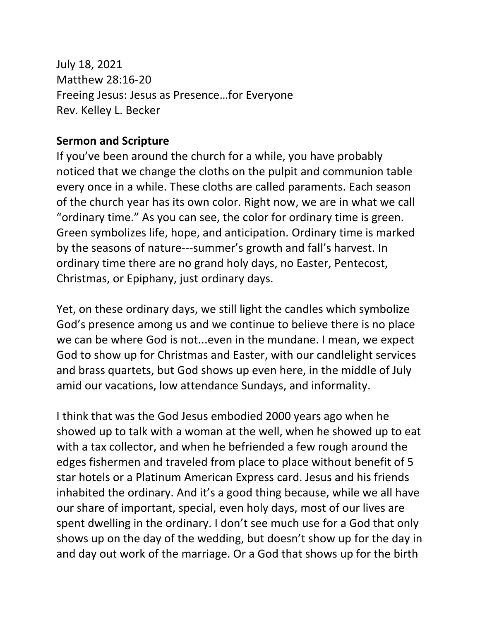July 18, 2021 Matthew 28:16-20 Freeing Jesus: Jesus as Presence…for Everyone Rev. Kelley L. Becker

## **Sermon and Scripture**

If you've been around the church for a while, you have probably noticed that we change the cloths on the pulpit and communion table every once in a while. These cloths are called paraments. Each season of the church year has its own color. Right now, we are in what we call "ordinary time." As you can see, the color for ordinary time is green. Green symbolizes life, hope, and anticipation. Ordinary time is marked by the seasons of nature---summer's growth and fall's harvest. In ordinary time there are no grand holy days, no Easter, Pentecost, Christmas, or Epiphany, just ordinary days.

Yet, on these ordinary days, we still light the candles which symbolize God's presence among us and we continue to believe there is no place we can be where God is not...even in the mundane. I mean, we expect God to show up for Christmas and Easter, with our candlelight services and brass quartets, but God shows up even here, in the middle of July amid our vacations, low attendance Sundays, and informality.

I think that was the God Jesus embodied 2000 years ago when he showed up to talk with a woman at the well, when he showed up to eat with a tax collector, and when he befriended a few rough around the edges fishermen and traveled from place to place without benefit of 5 star hotels or a Platinum American Express card. Jesus and his friends inhabited the ordinary. And it's a good thing because, while we all have our share of important, special, even holy days, most of our lives are spent dwelling in the ordinary. I don't see much use for a God that only shows up on the day of the wedding, but doesn't show up for the day in and day out work of the marriage. Or a God that shows up for the birth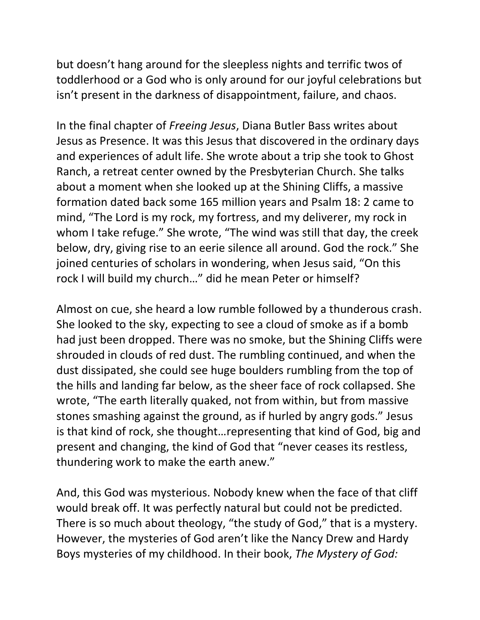but doesn't hang around for the sleepless nights and terrific twos of toddlerhood or a God who is only around for our joyful celebrations but isn't present in the darkness of disappointment, failure, and chaos.

In the final chapter of *Freeing Jesus*, Diana Butler Bass writes about Jesus as Presence. It was this Jesus that discovered in the ordinary days and experiences of adult life. She wrote about a trip she took to Ghost Ranch, a retreat center owned by the Presbyterian Church. She talks about a moment when she looked up at the Shining Cliffs, a massive formation dated back some 165 million years and Psalm 18: 2 came to mind, "The Lord is my rock, my fortress, and my deliverer, my rock in whom I take refuge." She wrote, "The wind was still that day, the creek below, dry, giving rise to an eerie silence all around. God the rock." She joined centuries of scholars in wondering, when Jesus said, "On this rock I will build my church…" did he mean Peter or himself?

Almost on cue, she heard a low rumble followed by a thunderous crash. She looked to the sky, expecting to see a cloud of smoke as if a bomb had just been dropped. There was no smoke, but the Shining Cliffs were shrouded in clouds of red dust. The rumbling continued, and when the dust dissipated, she could see huge boulders rumbling from the top of the hills and landing far below, as the sheer face of rock collapsed. She wrote, "The earth literally quaked, not from within, but from massive stones smashing against the ground, as if hurled by angry gods." Jesus is that kind of rock, she thought…representing that kind of God, big and present and changing, the kind of God that "never ceases its restless, thundering work to make the earth anew."

And, this God was mysterious. Nobody knew when the face of that cliff would break off. It was perfectly natural but could not be predicted. There is so much about theology, "the study of God," that is a mystery. However, the mysteries of God aren't like the Nancy Drew and Hardy Boys mysteries of my childhood. In their book, *The Mystery of God:*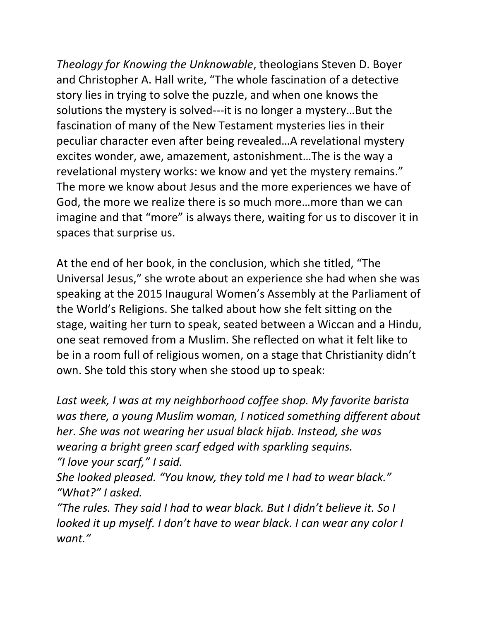*Theology for Knowing the Unknowable*, theologians Steven D. Boyer and Christopher A. Hall write, "The whole fascination of a detective story lies in trying to solve the puzzle, and when one knows the solutions the mystery is solved---it is no longer a mystery…But the fascination of many of the New Testament mysteries lies in their peculiar character even after being revealed…A revelational mystery excites wonder, awe, amazement, astonishment…The is the way a revelational mystery works: we know and yet the mystery remains." The more we know about Jesus and the more experiences we have of God, the more we realize there is so much more…more than we can imagine and that "more" is always there, waiting for us to discover it in spaces that surprise us.

At the end of her book, in the conclusion, which she titled, "The Universal Jesus," she wrote about an experience she had when she was speaking at the 2015 Inaugural Women's Assembly at the Parliament of the World's Religions. She talked about how she felt sitting on the stage, waiting her turn to speak, seated between a Wiccan and a Hindu, one seat removed from a Muslim. She reflected on what it felt like to be in a room full of religious women, on a stage that Christianity didn't own. She told this story when she stood up to speak:

*Last week, I was at my neighborhood coffee shop. My favorite barista was there, a young Muslim woman, I noticed something different about her. She was not wearing her usual black hijab. Instead, she was wearing a bright green scarf edged with sparkling sequins. "I love your scarf," I said.*

*She looked pleased. "You know, they told me I had to wear black." "What?" I asked.*

*"The rules. They said I had to wear black. But I didn't believe it. So I looked it up myself. I don't have to wear black. I can wear any color I want."*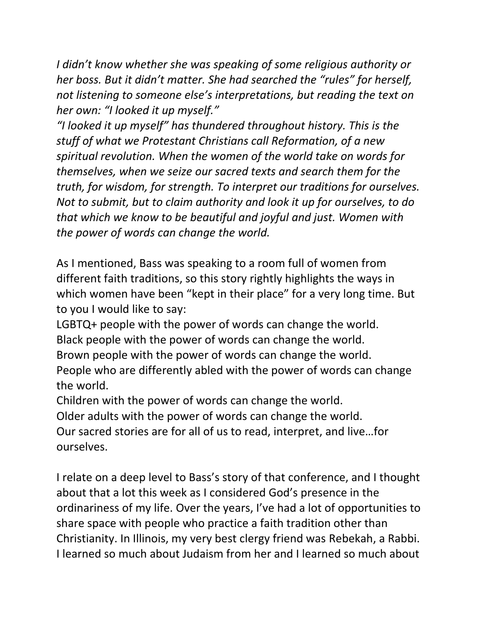*I didn't know whether she was speaking of some religious authority or her boss. But it didn't matter. She had searched the "rules" for herself, not listening to someone else's interpretations, but reading the text on her own: "I looked it up myself."*

*"I looked it up myself" has thundered throughout history. This is the stuff of what we Protestant Christians call Reformation, of a new spiritual revolution. When the women of the world take on words for themselves, when we seize our sacred texts and search them for the truth, for wisdom, for strength. To interpret our traditions for ourselves. Not to submit, but to claim authority and look it up for ourselves, to do that which we know to be beautiful and joyful and just. Women with the power of words can change the world.*

As I mentioned, Bass was speaking to a room full of women from different faith traditions, so this story rightly highlights the ways in which women have been "kept in their place" for a very long time. But to you I would like to say:

LGBTQ+ people with the power of words can change the world. Black people with the power of words can change the world. Brown people with the power of words can change the world. People who are differently abled with the power of words can change the world.

Children with the power of words can change the world.

Older adults with the power of words can change the world.

Our sacred stories are for all of us to read, interpret, and live…for ourselves.

I relate on a deep level to Bass's story of that conference, and I thought about that a lot this week as I considered God's presence in the ordinariness of my life. Over the years, I've had a lot of opportunities to share space with people who practice a faith tradition other than Christianity. In Illinois, my very best clergy friend was Rebekah, a Rabbi. I learned so much about Judaism from her and I learned so much about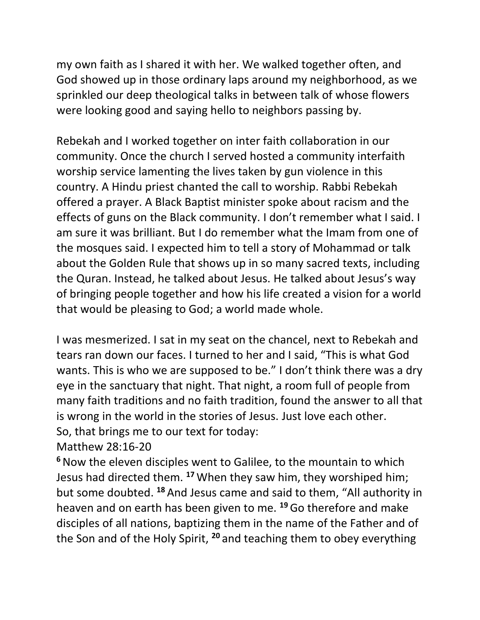my own faith as I shared it with her. We walked together often, and God showed up in those ordinary laps around my neighborhood, as we sprinkled our deep theological talks in between talk of whose flowers were looking good and saying hello to neighbors passing by.

Rebekah and I worked together on inter faith collaboration in our community. Once the church I served hosted a community interfaith worship service lamenting the lives taken by gun violence in this country. A Hindu priest chanted the call to worship. Rabbi Rebekah offered a prayer. A Black Baptist minister spoke about racism and the effects of guns on the Black community. I don't remember what I said. I am sure it was brilliant. But I do remember what the Imam from one of the mosques said. I expected him to tell a story of Mohammad or talk about the Golden Rule that shows up in so many sacred texts, including the Quran. Instead, he talked about Jesus. He talked about Jesus's way of bringing people together and how his life created a vision for a world that would be pleasing to God; a world made whole.

I was mesmerized. I sat in my seat on the chancel, next to Rebekah and tears ran down our faces. I turned to her and I said, "This is what God wants. This is who we are supposed to be." I don't think there was a dry eye in the sanctuary that night. That night, a room full of people from many faith traditions and no faith tradition, found the answer to all that is wrong in the world in the stories of Jesus. Just love each other. So, that brings me to our text for today:

Matthew 28:16-20

**<sup>6</sup>**Now the eleven disciples went to Galilee, to the mountain to which Jesus had directed them. **<sup>17</sup>** When they saw him, they worshiped him; but some doubted. **<sup>18</sup>** And Jesus came and said to them, "All authority in heaven and on earth has been given to me. **<sup>19</sup>**Go therefore and make disciples of all nations, baptizing them in the name of the Father and of the Son and of the Holy Spirit, **<sup>20</sup>** and teaching them to obey everything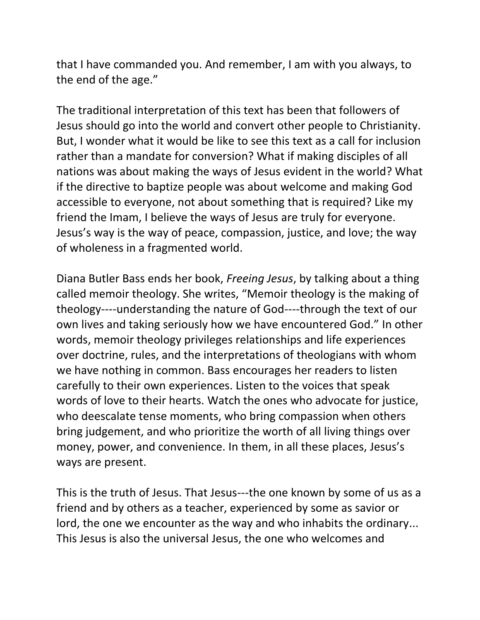that I have commanded you. And remember, I am with you always, to the end of the age."

The traditional interpretation of this text has been that followers of Jesus should go into the world and convert other people to Christianity. But, I wonder what it would be like to see this text as a call for inclusion rather than a mandate for conversion? What if making disciples of all nations was about making the ways of Jesus evident in the world? What if the directive to baptize people was about welcome and making God accessible to everyone, not about something that is required? Like my friend the Imam, I believe the ways of Jesus are truly for everyone. Jesus's way is the way of peace, compassion, justice, and love; the way of wholeness in a fragmented world.

Diana Butler Bass ends her book, *Freeing Jesus*, by talking about a thing called memoir theology. She writes, "Memoir theology is the making of theology----understanding the nature of God----through the text of our own lives and taking seriously how we have encountered God." In other words, memoir theology privileges relationships and life experiences over doctrine, rules, and the interpretations of theologians with whom we have nothing in common. Bass encourages her readers to listen carefully to their own experiences. Listen to the voices that speak words of love to their hearts. Watch the ones who advocate for justice, who deescalate tense moments, who bring compassion when others bring judgement, and who prioritize the worth of all living things over money, power, and convenience. In them, in all these places, Jesus's ways are present.

This is the truth of Jesus. That Jesus---the one known by some of us as a friend and by others as a teacher, experienced by some as savior or lord, the one we encounter as the way and who inhabits the ordinary... This Jesus is also the universal Jesus, the one who welcomes and